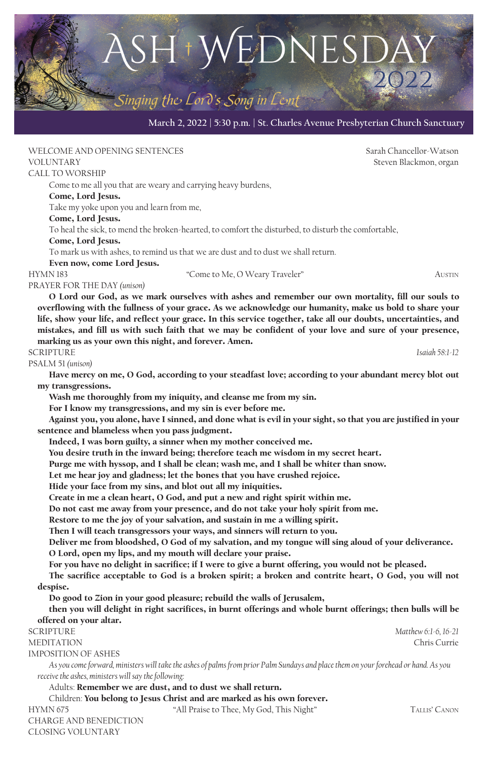#### **March 2, 2022 | 5:30 p.m. | St. Charles Avenue Presbyterian Church Sanctuary**

 $SH^*W\&DNESD$ 

Singing the Lord's Song in Lent

 $\blacksquare$ 

WELCOME AND OPENING SENTENCES **Same Community Sensitive Service Community** Sarah Chancellor-Watson VOLUNTARY Steven Blackmon, organ CALL TO WORSHIP Come to me all you that are weary and carrying heavy burdens, Come, Lord Jesus. Take my yoke upon you and learn from me, Come, Lord Jesus. To heal the sick, to mend the broken-hearted, to comfort the disturbed, to disturb the comfortable, Come, Lord Jesus. To mark us with ashes, to remind us that we are dust and to dust we shall return. Even now, come Lord Jesus. HYMN 183 "Come to Me, O Weary Traveler" AUSTIN PRAYER FOR THE DAY *(unison)* O Lord our God, as we mark ourselves with ashes and remember our own mortality, fill our souls to overflowing with the fullness of your grace. As we acknowledge our humanity, make us bold to share your life, show your life, and reflect your grace. In this service together, take all our doubts, uncertainties, and mistakes, and fill us with such faith that we may be confident of your love and sure of your presence, marking us as your own this night, and forever. Amen. SCRIPTURE *Isaiah 58:1-12* PSALM 51 *(unison)* Have mercy on me, O God, according to your steadfast love; according to your abundant mercy blot out my transgressions. Wash me thoroughly from my iniquity, and cleanse me from my sin. For I know my transgressions, and my sin is ever before me. Against you, you alone, have I sinned, and done what is evil in your sight, so that you are justified in your sentence and blameless when you pass judgment. Indeed, I was born guilty, a sinner when my mother conceived me. You desire truth in the inward being; therefore teach me wisdom in my secret heart. Purge me with hyssop, and I shall be clean; wash me, and I shall be whiter than snow. Let me hear joy and gladness; let the bones that you have crushed rejoice. Hide your face from my sins, and blot out all my iniquities. Create in me a clean heart, O God, and put a new and right spirit within me. Do not cast me away from your presence, and do not take your holy spirit from me. Restore to me the joy of your salvation, and sustain in me a willing spirit. Then I will teach transgressors your ways, and sinners will return to you. Deliver me from bloodshed, O God of my salvation, and my tongue will sing aloud of your deliverance. O Lord, open my lips, and my mouth will declare your praise. For you have no delight in sacrifice; if I were to give a burnt offering, you would not be pleased. The sacrifice acceptable to God is a broken spirit; a broken and contrite heart, O God, you will not despise. Do good to Zion in your good pleasure; rebuild the walls of Jerusalem, then you will delight in right sacrifices, in burnt offerings and whole burnt offerings; then bulls will be offered on your altar. SCRIPTURE *Matthew 6:1-6, 16-21* MEDITATION Chris Currie IMPOSITION OF ASHES *As you come forward, ministers will take the ashes of palms from prior Palm Sundays and place them on your forehead or hand. As you receive the ashes, ministers will say the following:* Adults: Remember we are dust, and to dust we shall return. Children: You belong to Jesus Christ and are marked as his own forever. HYMN 675 "All Praise to Thee, My God, This Night" Tallis' Canon CHARGE AND BENEDICTION

CLOSING VOLUNTARY